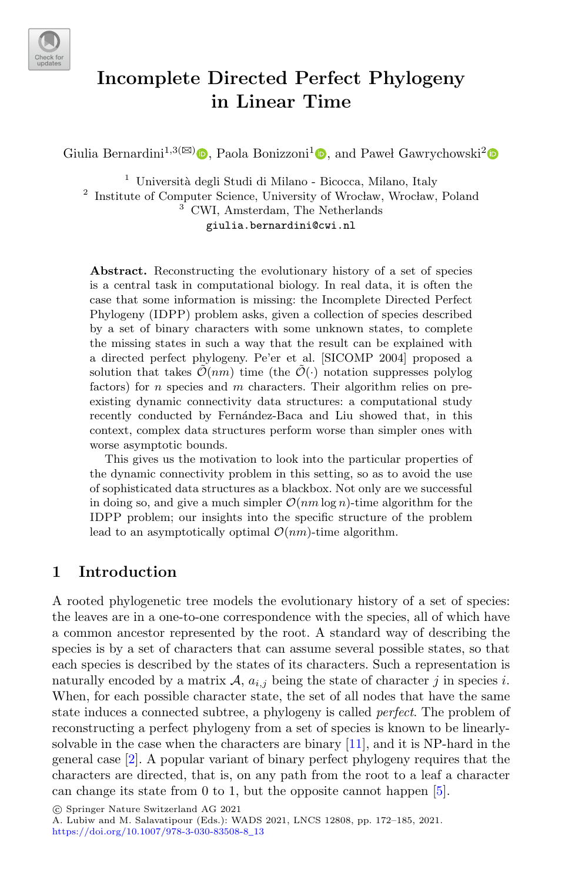

# **Incomplete Directed Perfect Phylogeny in Linear Time**

Giulia Bernardini<sup>1[,](http://orcid.org/0000-0001-7289-4988)3( $\textcircled{\tiny\boxtimes}$ [\)](http://orcid.org/0000-0001-6647-088X)  $\textcircled{\tiny\bullet}$ , Paola Bonizzoni<sup>1</sup> $\textcircled{\tiny\bullet}$ , and Paweł Gawrychowski<sup>[2](http://orcid.org/0000-0002-6993-5440)</sup></sup>

<sup>1</sup> Università degli Studi di Milano - Bicocca, Milano, Italy <sup>2</sup> Institute of Computer Science, University of Wrocław, Wrocław, Poland <sup>3</sup> CWI, Amsterdam, The Netherlands giulia.bernardini@cwi.nl

**Abstract.** Reconstructing the evolutionary history of a set of species is a central task in computational biology. In real data, it is often the case that some information is missing: the Incomplete Directed Perfect Phylogeny (IDPP) problem asks, given a collection of species described by a set of binary characters with some unknown states, to complete the missing states in such a way that the result can be explained with a directed perfect phylogeny. Pe'er et al. [SICOMP 2004] proposed a solution that takes  $\mathcal{O}(nm)$  time (the  $\mathcal{O}(\cdot)$ ) notation suppresses polylog factors) for *n* species and *m* characters. Their algorithm relies on preexisting dynamic connectivity data structures: a computational study recently conducted by Fernández-Baca and Liu showed that, in this context, complex data structures perform worse than simpler ones with worse asymptotic bounds.

This gives us the motivation to look into the particular properties of the dynamic connectivity problem in this setting, so as to avoid the use of sophisticated data structures as a blackbox. Not only are we successful in doing so, and give a much simpler  $\mathcal{O}(nm \log n)$ -time algorithm for the IDPP problem; our insights into the specific structure of the problem lead to an asymptotically optimal  $\mathcal{O}(nm)$ -time algorithm.

### **1 Introduction**

A rooted phylogenetic tree models the evolutionary history of a set of species: the leaves are in a one-to-one correspondence with the species, all of which have a common ancestor represented by the root. A standard way of describing the species is by a set of characters that can assume several possible states, so that each species is described by the states of its characters. Such a representation is naturally encoded by a matrix A,  $a_{i,j}$  being the state of character j in species i. When, for each possible character state, the set of all nodes that have the same state induces a connected subtree, a phylogeny is called *perfect*. The problem of reconstructing a perfect phylogeny from a set of species is known to be linearlysolvable in the case when the characters are binary [\[11\]](#page-12-0), and it is NP-hard in the general case [\[2](#page-12-1)]. A popular variant of binary perfect phylogeny requires that the characters are directed, that is, on any path from the root to a leaf a character can change its state from 0 to 1, but the opposite cannot happen [\[5\]](#page-12-2).

-c Springer Nature Switzerland AG 2021

A. Lubiw and M. Salavatipour (Eds.): WADS 2021, LNCS 12808, pp. 172–185, 2021. [https://doi.org/10.1007/978-3-030-83508-8](https://doi.org/10.1007/978-3-030-83508-8_13)\_13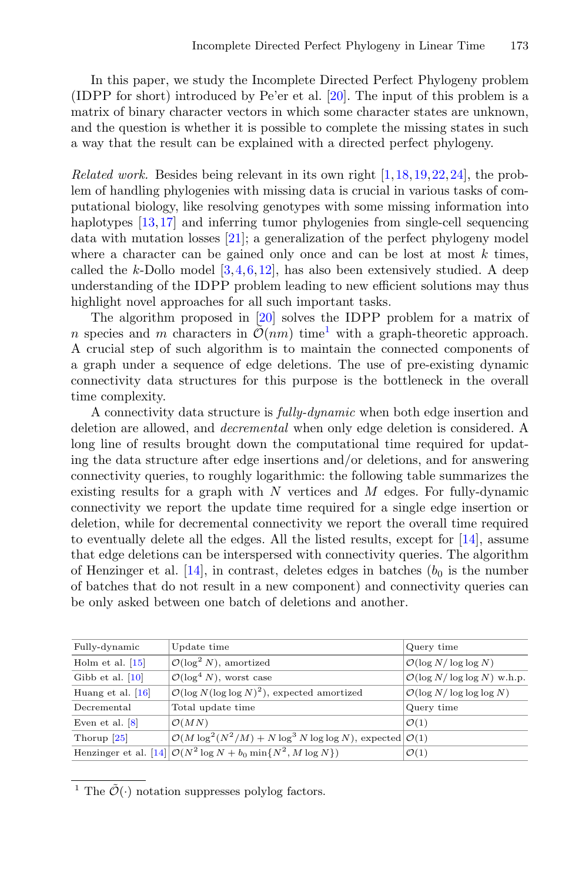In this paper, we study the Incomplete Directed Perfect Phylogeny problem (IDPP for short) introduced by Pe'er et al. [\[20](#page-13-0)]. The input of this problem is a matrix of binary character vectors in which some character states are unknown, and the question is whether it is possible to complete the missing states in such a way that the result can be explained with a directed perfect phylogeny.

*Related work.* Besides being relevant in its own right [\[1](#page-12-3),[18,](#page-13-1)[19](#page-13-2)[,22](#page-13-3)[,24](#page-13-4)], the problem of handling phylogenies with missing data is crucial in various tasks of computational biology, like resolving genotypes with some missing information into haplotypes  $[13,17]$  $[13,17]$  $[13,17]$  and inferring tumor phylogenies from single-cell sequencing data with mutation losses [\[21](#page-13-6)]; a generalization of the perfect phylogeny model where a character can be gained only once and can be lost at most  $k$  times, called the k-Dollo model  $[3,4,6,12]$  $[3,4,6,12]$  $[3,4,6,12]$  $[3,4,6,12]$  $[3,4,6,12]$  $[3,4,6,12]$ , has also been extensively studied. A deep understanding of the IDPP problem leading to new efficient solutions may thus highlight novel approaches for all such important tasks.

The algorithm proposed in [\[20\]](#page-13-0) solves the IDPP problem for a matrix of n species and m characters in  $\mathcal{O}(nm)$  time<sup>[1](#page-1-0)</sup> with a graph-theoretic approach. A crucial step of such algorithm is to maintain the connected components of a graph under a sequence of edge deletions. The use of pre-existing dynamic connectivity data structures for this purpose is the bottleneck in the overall time complexity.

A connectivity data structure is *fully-dynamic* when both edge insertion and deletion are allowed, and *decremental* when only edge deletion is considered. A long line of results brought down the computational time required for updating the data structure after edge insertions and/or deletions, and for answering connectivity queries, to roughly logarithmic: the following table summarizes the existing results for a graph with  $N$  vertices and  $M$  edges. For fully-dynamic connectivity we report the update time required for a single edge insertion or deletion, while for decremental connectivity we report the overall time required to eventually delete all the edges. All the listed results, except for [\[14](#page-13-7)], assume that edge deletions can be interspersed with connectivity queries. The algorithm of Henzinger et al.  $[14]$  $[14]$ , in contrast, deletes edges in batches  $(b_0$  is the number of batches that do not result in a new component) and connectivity queries can be only asked between one batch of deletions and another.

| Fully-dynamic       | Update time                                                                         | Query time                              |
|---------------------|-------------------------------------------------------------------------------------|-----------------------------------------|
| Holm et al. $[15]$  | $\mathcal{O}(\log^2 N)$ , amortized                                                 | $\mathcal{O}(\log N/\log\log N)$        |
| Gibb et al. $ 10 $  | $\mathcal{O}(\log^4 N)$ , worst case                                                | $\mathcal{O}(\log N/\log\log N)$ w.h.p. |
| Huang et al. $[16]$ | $\mathcal{O}(\log N(\log \log N)^2)$ , expected amortized                           | $\mathcal{O}(\log N/\log\log\log N)$    |
| Decremental         | Total update time                                                                   | Query time                              |
| Even et al. $[8]$   | $\mathcal{O}(MN)$                                                                   | $\mathcal{O}(1)$                        |
| Thorup $[25]$       | $\mathcal{O}(M \log^2(N^2/M) + N \log^3 N \log \log N)$ , expected $\mathcal{O}(1)$ |                                         |
|                     | Henzinger et al. [14] $\mathcal{O}(N^2 \log N + b_0 \min\{N^2, M \log N\})$         | $\mathcal{O}(1)$                        |

<span id="page-1-0"></span><sup>&</sup>lt;sup>1</sup> The  $\tilde{\mathcal{O}}(\cdot)$  notation suppresses polylog factors.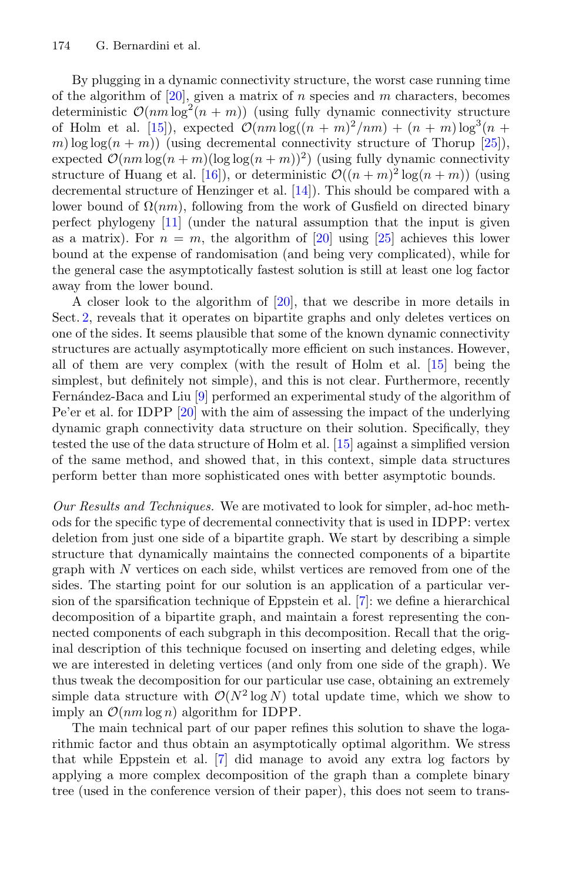By plugging in a dynamic connectivity structure, the worst case running time of the algorithm of  $[20]$ , given a matrix of n species and m characters, becomes deterministic  $\mathcal{O}(nm \log^2(n + m))$  (using fully dynamic connectivity structure of Holm et al. [\[15\]](#page-13-8)), expected  $\mathcal{O}(nm \log((n + m)^2/nm) + (n + m) \log^3(n +$ m) log log( $n + m$ )) (using decremental connectivity structure of Thorup [\[25\]](#page-13-10)), expected  $\mathcal{O}(nm \log(n + m)(\log \log(n + m))^2)$  (using fully dynamic connectivity structure of Huang et al. [\[16\]](#page-13-9)), or deterministic  $\mathcal{O}((n+m)^2 \log(n+m))$  (using decremental structure of Henzinger et al. [\[14\]](#page-13-7)). This should be compared with a lower bound of  $\Omega(nm)$ , following from the work of Gusfield on directed binary perfect phylogeny [\[11\]](#page-12-0) (under the natural assumption that the input is given as a matrix). For  $n = m$ , the algorithm of [\[20\]](#page-13-0) using [\[25\]](#page-13-10) achieves this lower bound at the expense of randomisation (and being very complicated), while for the general case the asymptotically fastest solution is still at least one log factor away from the lower bound.

A closer look to the algorithm of [\[20](#page-13-0)], that we describe in more details in Sect. [2,](#page-3-0) reveals that it operates on bipartite graphs and only deletes vertices on one of the sides. It seems plausible that some of the known dynamic connectivity structures are actually asymptotically more efficient on such instances. However, all of them are very complex (with the result of Holm et al. [\[15](#page-13-8)] being the simplest, but definitely not simple), and this is not clear. Furthermore, recently Fernández-Baca and Liu <a>[\[9\]](#page-12-11)</a> performed an experimental study of the algorithm of Pe'er et al. for IDPP [\[20](#page-13-0)] with the aim of assessing the impact of the underlying dynamic graph connectivity data structure on their solution. Specifically, they tested the use of the data structure of Holm et al. [\[15](#page-13-8)] against a simplified version of the same method, and showed that, in this context, simple data structures perform better than more sophisticated ones with better asymptotic bounds.

*Our Results and Techniques.* We are motivated to look for simpler, ad-hoc methods for the specific type of decremental connectivity that is used in IDPP: vertex deletion from just one side of a bipartite graph. We start by describing a simple structure that dynamically maintains the connected components of a bipartite graph with N vertices on each side, whilst vertices are removed from one of the sides. The starting point for our solution is an application of a particular version of the sparsification technique of Eppstein et al. [\[7](#page-12-12)]: we define a hierarchical decomposition of a bipartite graph, and maintain a forest representing the connected components of each subgraph in this decomposition. Recall that the original description of this technique focused on inserting and deleting edges, while we are interested in deleting vertices (and only from one side of the graph). We thus tweak the decomposition for our particular use case, obtaining an extremely simple data structure with  $\mathcal{O}(N^2 \log N)$  total update time, which we show to imply an  $\mathcal{O}(nm \log n)$  algorithm for IDPP.

The main technical part of our paper refines this solution to shave the logarithmic factor and thus obtain an asymptotically optimal algorithm. We stress that while Eppstein et al. [\[7\]](#page-12-12) did manage to avoid any extra log factors by applying a more complex decomposition of the graph than a complete binary tree (used in the conference version of their paper), this does not seem to trans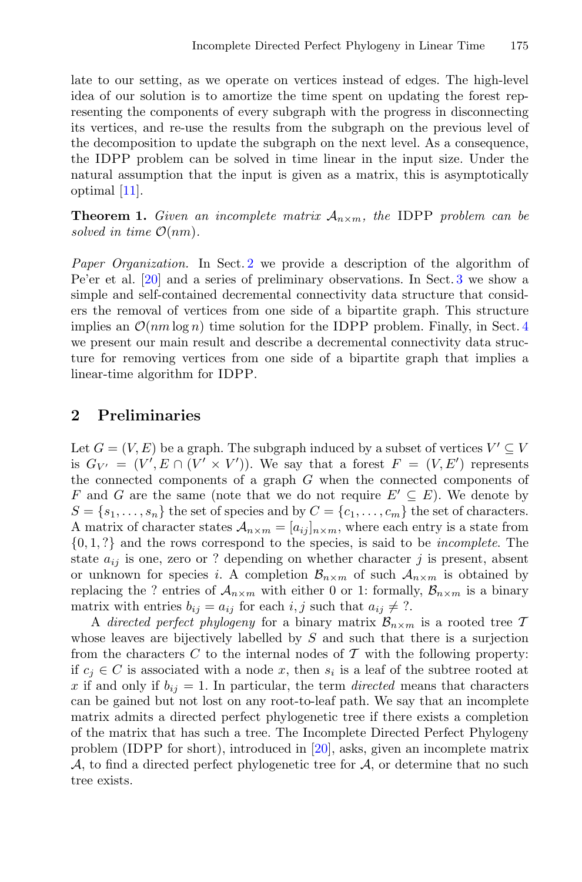late to our setting, as we operate on vertices instead of edges. The high-level idea of our solution is to amortize the time spent on updating the forest representing the components of every subgraph with the progress in disconnecting its vertices, and re-use the results from the subgraph on the previous level of the decomposition to update the subgraph on the next level. As a consequence, the IDPP problem can be solved in time linear in the input size. Under the natural assumption that the input is given as a matrix, this is asymptotically optimal [\[11\]](#page-12-0).

**Theorem 1.** *Given an incomplete matrix*  $A_{n \times m}$ *, the* IDPP *problem can be solved in time*  $\mathcal{O}(nm)$ *.* 

*Paper Organization.* In Sect. [2](#page-3-0) we provide a description of the algorithm of Pe'er et al. [\[20](#page-13-0)] and a series of preliminary observations. In Sect. [3](#page-7-0) we show a simple and self-contained decremental connectivity data structure that considers the removal of vertices from one side of a bipartite graph. This structure implies an  $\mathcal{O}(nm \log n)$  time solution for the IDPP problem. Finally, in Sect. [4](#page-9-0) we present our main result and describe a decremental connectivity data structure for removing vertices from one side of a bipartite graph that implies a linear-time algorithm for IDPP.

#### <span id="page-3-0"></span>**2 Preliminaries**

Let  $G = (V, E)$  be a graph. The subgraph induced by a subset of vertices  $V' \subseteq V$ is  $G_{V'} = (V', E \cap (V' \times V'))$ . We say that a forest  $F = (V, E')$  represents the connected components of a graph  $G$  when the connected components of F and G are the same (note that we do not require  $E' \subseteq E$ ). We denote by  $S = \{s_1, \ldots, s_n\}$  the set of species and by  $C = \{c_1, \ldots, c_m\}$  the set of characters. A matrix of character states  $A_{n \times m} = [a_{ij}]_{n \times m}$ , where each entry is a state from {0, 1, ?} and the rows correspond to the species, is said to be *incomplete*. The state  $a_{ij}$  is one, zero or ? depending on whether character j is present, absent or unknown for species i. A completion  $\mathcal{B}_{n\times m}$  of such  $\mathcal{A}_{n\times m}$  is obtained by replacing the ? entries of  $A_{n\times m}$  with either 0 or 1: formally,  $B_{n\times m}$  is a binary matrix with entries  $b_{ij} = a_{ij}$  for each i, j such that  $a_{ij} \neq ?$ .

A *directed perfect phylogeny* for a binary matrix  $B_{n \times m}$  is a rooted tree T whose leaves are bijectively labelled by  $S$  and such that there is a surjection from the characters  $C$  to the internal nodes of  $\mathcal T$  with the following property: if  $c_i \in C$  is associated with a node x, then  $s_i$  is a leaf of the subtree rooted at x if and only if  $b_{ij} = 1$ . In particular, the term *directed* means that characters can be gained but not lost on any root-to-leaf path. We say that an incomplete matrix admits a directed perfect phylogenetic tree if there exists a completion of the matrix that has such a tree. The Incomplete Directed Perfect Phylogeny problem (IDPP for short), introduced in [\[20\]](#page-13-0), asks, given an incomplete matrix  $\mathcal{A}$ , to find a directed perfect phylogenetic tree for  $\mathcal{A}$ , or determine that no such tree exists.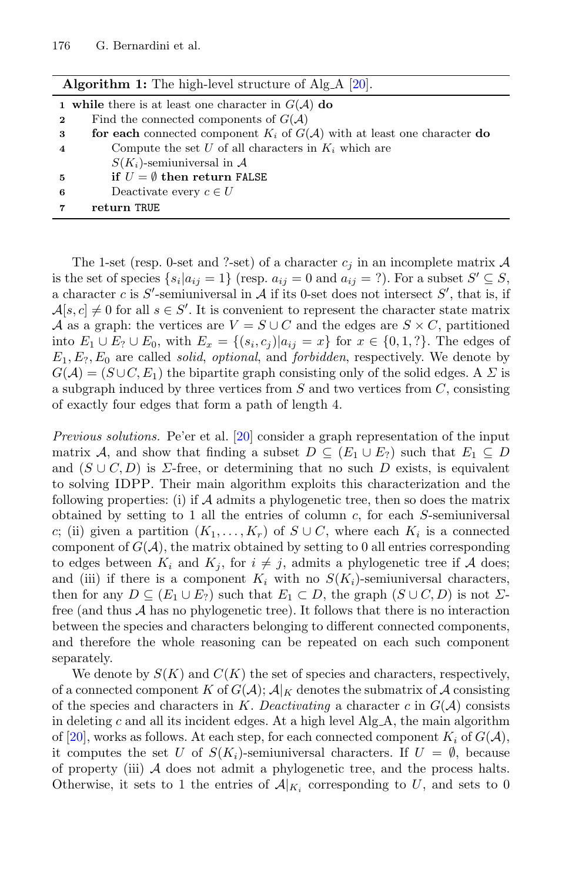<span id="page-4-2"></span><span id="page-4-1"></span>

| <b>Algorithm 1:</b> The high-level structure of Alg <sub>-A</sub> $[20]$ . |                                                                                       |  |
|----------------------------------------------------------------------------|---------------------------------------------------------------------------------------|--|
| <b>1</b> while there is at least one character in $G(A)$ do                |                                                                                       |  |
| $\bf{2}$                                                                   | Find the connected components of $G(\mathcal{A})$                                     |  |
| 3                                                                          | for each connected component $K_i$ of $G(\mathcal{A})$ with at least one character do |  |
| $\overline{\bf{4}}$                                                        | Compute the set U of all characters in $K_i$ which are                                |  |
|                                                                            | $S(K_i)$ -semiuniversal in A                                                          |  |
| 5                                                                          | if $U = \emptyset$ then return FALSE                                                  |  |
| 6                                                                          | Deactivate every $c \in U$                                                            |  |
|                                                                            | return TRUE                                                                           |  |
|                                                                            |                                                                                       |  |

<span id="page-4-3"></span><span id="page-4-0"></span>The 1-set (resp. 0-set and ?-set) of a character  $c_i$  in an incomplete matrix  $\mathcal A$ is the set of species  $\{s_i|a_{ij}=1\}$  (resp.  $a_{ij}=0$  and  $a_{ij}=?$ ). For a subset  $S' \subseteq S$ , a character c is  $S'$ -semiuniversal in A if its 0-set does not intersect  $S'$ , that is, if  $\mathcal{A}[s,c] \neq 0$  for all  $s \in S'$ . It is convenient to represent the character state matrix A as a graph: the vertices are  $V = S \cup C$  and the edges are  $S \times C$ , partitioned into  $E_1 \cup E_2 \cup E_0$ , with  $E_x = \{(s_i, c_j) | a_{ij} = x\}$  for  $x \in \{0, 1, ?\}$ . The edges of  $E_1, E_2, E_0$  are called *solid*, *optional*, and *forbidden*, respectively. We denote by  $G(\mathcal{A})=(S\cup C, E_1)$  the bipartite graph consisting only of the solid edges. A  $\Sigma$  is a subgraph induced by three vertices from  $S$  and two vertices from  $C$ , consisting of exactly four edges that form a path of length 4.

*Previous solutions.* Pe'er et al. [\[20\]](#page-13-0) consider a graph representation of the input matrix A, and show that finding a subset  $D \subseteq (E_1 \cup E_2)$  such that  $E_1 \subseteq D$ and  $(S \cup C, D)$  is  $\Sigma$ -free, or determining that no such D exists, is equivalent to solving IDPP. Their main algorithm exploits this characterization and the following properties: (i) if  $A$  admits a phylogenetic tree, then so does the matrix obtained by setting to 1 all the entries of column  $c$ , for each  $S$ -semiuniversal c; (ii) given a partition  $(K_1,\ldots,K_r)$  of  $S\cup C$ , where each  $K_i$  is a connected component of  $G(\mathcal{A})$ , the matrix obtained by setting to 0 all entries corresponding to edges between  $K_i$  and  $K_j$ , for  $i \neq j$ , admits a phylogenetic tree if A does; and (iii) if there is a component  $K_i$  with no  $S(K_i)$ -semiuniversal characters, then for any  $D \subseteq (E_1 \cup E_2)$  such that  $E_1 \subset D$ , the graph  $(S \cup C, D)$  is not  $\Sigma$ free (and thus  $A$  has no phylogenetic tree). It follows that there is no interaction between the species and characters belonging to different connected components, and therefore the whole reasoning can be repeated on each such component separately.

We denote by  $S(K)$  and  $C(K)$  the set of species and characters, respectively, of a connected component K of  $G(A)$ ;  $\mathcal{A}|_K$  denotes the submatrix of A consisting of the species and characters in K. Deactivating a character c in  $G(\mathcal{A})$  consists in deleting c and all its incident edges. At a high level  $\text{Alg}_A$ , the main algorithm of [\[20\]](#page-13-0), works as follows. At each step, for each connected component  $K_i$  of  $G(\mathcal{A})$ , it computes the set U of  $S(K_i)$ -semiuniversal characters. If  $U = \emptyset$ , because of property (iii)  $A$  does not admit a phylogenetic tree, and the process halts. Otherwise, it sets to 1 the entries of  $\mathcal{A}|_{K_i}$  corresponding to U, and sets to 0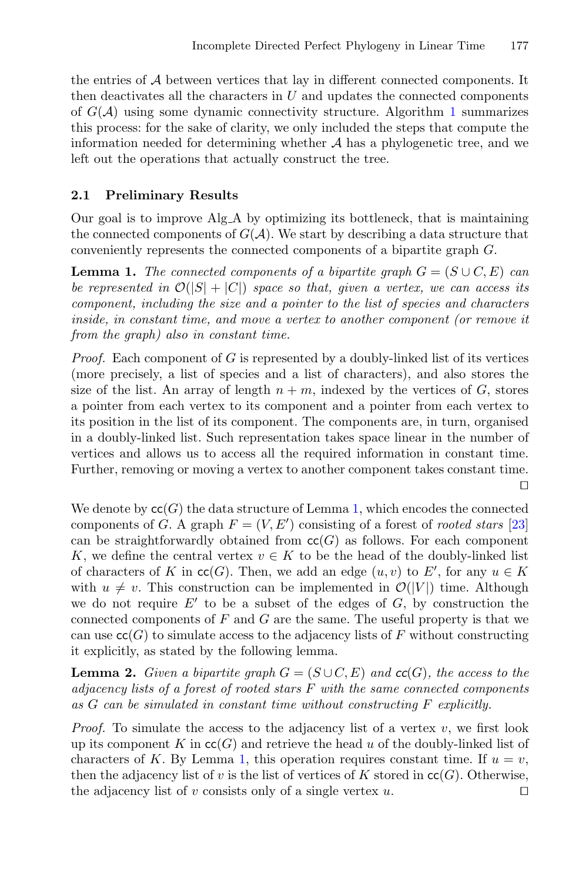the entries of A between vertices that lay in different connected components. It then deactivates all the characters in  $U$  and updates the connected components of  $G(\mathcal{A})$  using some dynamic connectivity structure. Algorithm [1](#page-4-0) summarizes this process: for the sake of clarity, we only included the steps that compute the information needed for determining whether  $A$  has a phylogenetic tree, and we left out the operations that actually construct the tree.

#### **2.1 Preliminary Results**

<span id="page-5-0"></span>Our goal is to improve Alg A by optimizing its bottleneck, that is maintaining the connected components of  $G(\mathcal{A})$ . We start by describing a data structure that conveniently represents the connected components of a bipartite graph G.

**Lemma 1.** *The connected components of a bipartite graph*  $G = (S \cup C, E)$  *can be represented in*  $\mathcal{O}(|S| + |C|)$  *space so that, given a vertex, we can access its component, including the size and a pointer to the list of species and characters inside, in constant time, and move a vertex to another component (or remove it from the graph) also in constant time.*

*Proof.* Each component of G is represented by a doubly-linked list of its vertices (more precisely, a list of species and a list of characters), and also stores the size of the list. An array of length  $n + m$ , indexed by the vertices of G, stores a pointer from each vertex to its component and a pointer from each vertex to its position in the list of its component. The components are, in turn, organised in a doubly-linked list. Such representation takes space linear in the number of vertices and allows us to access all the required information in constant time. Further, removing or moving a vertex to another component takes constant time.  $\Box$ 

We denote by  $cc(G)$  the data structure of Lemma [1,](#page-5-0) which encodes the connected components of G. A graph  $F = (V, E')$  consisting of a forest of *rooted stars* [\[23\]](#page-13-11) can be straightforwardly obtained from  $cc(G)$  as follows. For each component K, we define the central vertex  $v \in K$  to be the head of the doubly-linked list of characters of K in  $\mathsf{cc}(G)$ . Then, we add an edge  $(u, v)$  to E', for any  $u \in K$ with  $u \neq v$ . This construction can be implemented in  $\mathcal{O}(|V|)$  time. Although we do not require  $E'$  to be a subset of the edges of  $G$ , by construction the connected components of  $F$  and  $G$  are the same. The useful property is that we can use  $\mathsf{cc}(G)$  to simulate access to the adjacency lists of F without constructing it explicitly, as stated by the following lemma.

<span id="page-5-1"></span>**Lemma 2.** *Given a bipartite graph*  $G = (S \cup C, E)$  *and*  $cc(G)$ *, the access to the adjacency lists of a forest of rooted stars* F *with the same connected components as* G *can be simulated in constant time without constructing* F *explicitly.*

*Proof.* To simulate the access to the adjacency list of a vertex  $v$ , we first look up its component K in  $\text{cc}(G)$  and retrieve the head u of the doubly-linked list of characters of K. By Lemma [1,](#page-5-0) this operation requires constant time. If  $u = v$ , then the adjacency list of v is the list of vertices of K stored in  $\mathsf{cc}(G)$ . Otherwise, the adjacency list of v consists only of a single vertex  $u$ .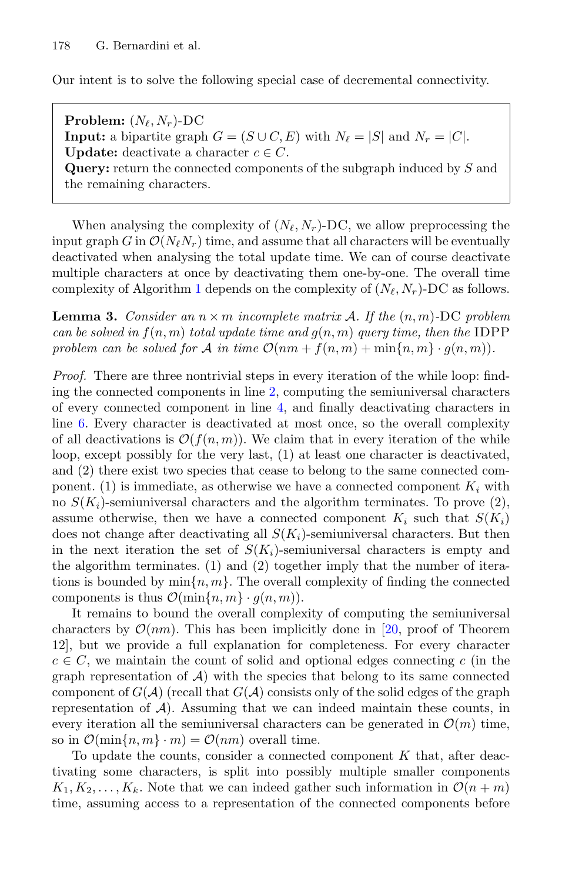Our intent is to solve the following special case of decremental connectivity.

 $\mathbf{Problem:}~ (N_{\ell}, N_{r})\text{-}\mathrm{DC}$ **Input:** a bipartite graph  $G = (S \cup C, E)$  with  $N_{\ell} = |S|$  and  $N_r = |C|$ . **Update:** deactivate a character  $c \in C$ . **Query:** return the connected components of the subgraph induced by S and the remaining characters.

When analysing the complexity of  $(N_{\ell}, N_{r})$ -DC, we allow preprocessing the input graph  $G$  in  $\mathcal{O}(N_\ell N_r)$  time, and assume that all characters will be eventually deactivated when analysing the total update time. We can of course deactivate multiple characters at once by deactivating them one-by-one. The overall time complexity of Algorithm [1](#page-4-0) depends on the complexity of  $(N_{\ell}, N_r)$ -DC as follows.

<span id="page-6-0"></span>**Lemma 3.** *Consider an*  $n \times m$  *incomplete matrix* A*.* If the  $(n, m)$ -DC problem *can be solved in*  $f(n, m)$  *total update time and*  $g(n, m)$  *query time, then the* IDPP problem can be solved for A in time  $\mathcal{O}(nm + f(n, m) + \min\{n, m\} \cdot g(n, m))$ .

*Proof.* There are three nontrivial steps in every iteration of the while loop: finding the connected components in line [2,](#page-4-1) computing the semiuniversal characters of every connected component in line [4,](#page-4-2) and finally deactivating characters in line [6.](#page-4-3) Every character is deactivated at most once, so the overall complexity of all deactivations is  $\mathcal{O}(f(n, m))$ . We claim that in every iteration of the while loop, except possibly for the very last, (1) at least one character is deactivated, and (2) there exist two species that cease to belong to the same connected component. (1) is immediate, as otherwise we have a connected component  $K_i$  with no  $S(K_i)$ -semiuniversal characters and the algorithm terminates. To prove (2), assume otherwise, then we have a connected component  $K_i$  such that  $S(K_i)$ does not change after deactivating all  $S(K_i)$ -semiuniversal characters. But then in the next iteration the set of  $S(K_i)$ -semiuniversal characters is empty and the algorithm terminates. (1) and (2) together imply that the number of iterations is bounded by  $\min\{n, m\}$ . The overall complexity of finding the connected components is thus  $\mathcal{O}(\min\{n,m\} \cdot g(n,m)).$ 

It remains to bound the overall complexity of computing the semiuniversal characters by  $\mathcal{O}(nm)$ . This has been implicitly done in [\[20,](#page-13-0) proof of Theorem 12], but we provide a full explanation for completeness. For every character  $c \in C$ , we maintain the count of solid and optional edges connecting c (in the graph representation of  $A$ ) with the species that belong to its same connected component of  $G(\mathcal{A})$  (recall that  $G(\mathcal{A})$  consists only of the solid edges of the graph representation of  $A$ ). Assuming that we can indeed maintain these counts, in every iteration all the semiuniversal characters can be generated in  $\mathcal{O}(m)$  time, so in  $\mathcal{O}(\min\{n,m\} \cdot m) = \mathcal{O}(nm)$  overall time.

To update the counts, consider a connected component K that, after deactivating some characters, is split into possibly multiple smaller components  $K_1, K_2, \ldots, K_k$ . Note that we can indeed gather such information in  $\mathcal{O}(n+m)$ time, assuming access to a representation of the connected components before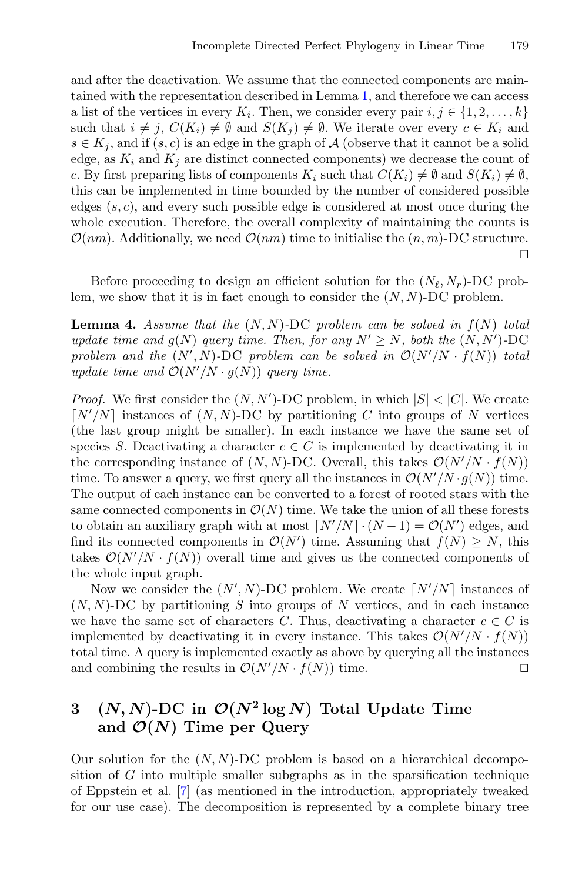and after the deactivation. We assume that the connected components are maintained with the representation described in Lemma [1,](#page-5-0) and therefore we can access a list of the vertices in every  $K_i$ . Then, we consider every pair  $i, j \in \{1, 2, \ldots, k\}$ such that  $i \neq j$ ,  $C(K_i) \neq \emptyset$  and  $S(K_j) \neq \emptyset$ . We iterate over every  $c \in K_i$  and  $s \in K_i$ , and if  $(s, c)$  is an edge in the graph of A (observe that it cannot be a solid edge, as  $K_i$  and  $K_j$  are distinct connected components) we decrease the count of c. By first preparing lists of components  $K_i$  such that  $C(K_i) \neq \emptyset$  and  $S(K_i) \neq \emptyset$ , this can be implemented in time bounded by the number of considered possible edges  $(s, c)$ , and every such possible edge is considered at most once during the whole execution. Therefore, the overall complexity of maintaining the counts is  $\mathcal{O}(nm)$ . Additionally, we need  $\mathcal{O}(nm)$  time to initialise the  $(n, m)$ -DC structure.  $\Box$ 

<span id="page-7-1"></span>Before proceeding to design an efficient solution for the  $(N_{\ell}, N_r)$ -DC problem, we show that it is in fact enough to consider the  $(N, N)$ -DC problem.

**Lemma 4.** *Assume that the*  $(N, N)$ -DC *problem can be solved in*  $f(N)$  *total update time and*  $g(N)$  *query time. Then, for any*  $N' \geq N$ *, both the*  $(N, N')$ -DC problem and the  $(N', N)$ -DC problem can be solved in  $\mathcal{O}(N'/N \cdot f(N))$  total *update time and*  $\mathcal{O}(N'/N \cdot g(N))$  *query time.* 

*Proof.* We first consider the  $(N, N')$ -DC problem, in which  $|S| < |C|$ . We create  $[N'/N]$  instances of  $(N, N)$ -DC by partitioning C into groups of N vertices (the last group might be smaller). In each instance we have the same set of species S. Deactivating a character  $c \in C$  is implemented by deactivating it in the corresponding instance of  $(N, N)$ -DC. Overall, this takes  $\mathcal{O}(N'/N \cdot f(N))$ time. To answer a query, we first query all the instances in  $\mathcal{O}(N'/N \cdot g(N))$  time. The output of each instance can be converted to a forest of rooted stars with the same connected components in  $\mathcal{O}(N)$  time. We take the union of all these forests to obtain an auxiliary graph with at most  $\lceil N'/N \rceil \cdot (N-1) = \mathcal{O}(N')$  edges, and find its connected components in  $\mathcal{O}(N')$  time. Assuming that  $f(N) \geq N$ , this takes  $\mathcal{O}(N'/N \cdot f(N))$  overall time and gives us the connected components of the whole input graph.

Now we consider the  $(N', N)$ -DC problem. We create  $\lceil N'/N \rceil$  instances of  $(N, N)$ -DC by partitioning S into groups of N vertices, and in each instance we have the same set of characters C. Thus, deactivating a character  $c \in C$  is implemented by deactivating it in every instance. This takes  $\mathcal{O}(N'/N \cdot f(N))$ total time. A query is implemented exactly as above by querying all the instances and combining the results in  $\mathcal{O}(N'/N \cdot f(N))$  time.

## <span id="page-7-0"></span>**3**  $(N, N)$ -DC in  $\mathcal{O}(N^2 \log N)$  Total Update Time and  $\mathcal{O}(N)$  Time per Query

Our solution for the  $(N, N)$ -DC problem is based on a hierarchical decomposition of  $G$  into multiple smaller subgraphs as in the sparsification technique of Eppstein et al. [\[7](#page-12-12)] (as mentioned in the introduction, appropriately tweaked for our use case). The decomposition is represented by a complete binary tree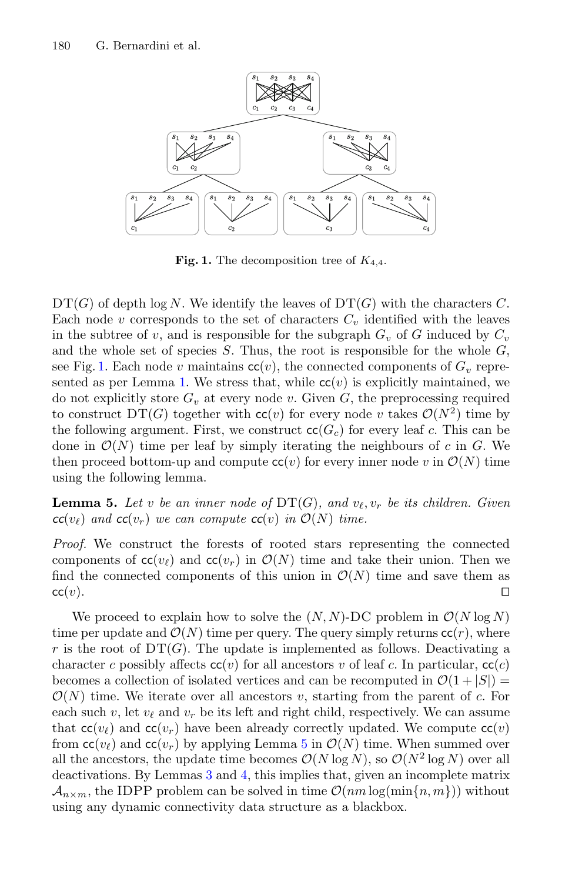

<span id="page-8-0"></span>**Fig. 1.** The decomposition tree of *K*4*,*4.

 $DT(G)$  of depth log N. We identify the leaves of  $DT(G)$  with the characters C. Each node v corresponds to the set of characters  $C_v$  identified with the leaves in the subtree of v, and is responsible for the subgraph  $G_v$  of G induced by  $C_v$ and the whole set of species  $S$ . Thus, the root is responsible for the whole  $G$ , see Fig. [1.](#page-8-0) Each node v maintains  $cc(v)$ , the connected components of  $G_v$  repre-sented as per Lemma [1.](#page-5-0) We stress that, while  $cc(v)$  is explicitly maintained, we do not explicitly store  $G_v$  at every node v. Given G, the preprocessing required to construct  $DT(G)$  together with  $cc(v)$  for every node v takes  $O(N^2)$  time by the following argument. First, we construct  $cc(G_c)$  for every leaf c. This can be done in  $\mathcal{O}(N)$  time per leaf by simply iterating the neighbours of c in G. We then proceed bottom-up and compute  $\mathbf{c}(\nu)$  for every inner node v in  $\mathcal{O}(N)$  time using the following lemma.

<span id="page-8-1"></span>**Lemma 5.** Let v be an inner node of  $DT(G)$ , and  $v_{\ell}, v_r$  be its children. Given  $cc(v_\ell)$  *and*  $cc(v_r)$  *we can compute*  $cc(v)$  *in*  $O(N)$  *time.* 

*Proof.* We construct the forests of rooted stars representing the connected components of  $cc(v_\ell)$  and  $cc(v_r)$  in  $\mathcal{O}(N)$  time and take their union. Then we find the connected components of this union in  $\mathcal{O}(N)$  time and save them as  $cc(v)$ .  $\mathsf{cc}(v).$ 

We proceed to explain how to solve the  $(N, N)$ -DC problem in  $\mathcal{O}(N \log N)$ time per update and  $\mathcal{O}(N)$  time per query. The query simply returns  $cc(r)$ , where r is the root of  $DT(G)$ . The update is implemented as follows. Deactivating a character c possibly affects  $cc(v)$  for all ancestors v of leaf c. In particular,  $cc(c)$ becomes a collection of isolated vertices and can be recomputed in  $\mathcal{O}(1+|S|)$  =  $\mathcal{O}(N)$  time. We iterate over all ancestors v, starting from the parent of c. For each such v, let  $v_{\ell}$  and  $v_r$  be its left and right child, respectively. We can assume that  $cc(v_\ell)$  and  $cc(v_r)$  have been already correctly updated. We compute  $cc(v)$ from  $\mathsf{cc}(v_\ell)$  and  $\mathsf{cc}(v_r)$  by applying Lemma [5](#page-8-1) in  $\mathcal{O}(N)$  time. When summed over all the ancestors, the update time becomes  $\mathcal{O}(N \log N)$ , so  $\mathcal{O}(N^2 \log N)$  over all deactivations. By Lemmas [3](#page-6-0) and [4,](#page-7-1) this implies that, given an incomplete matrix  $\mathcal{A}_{n \times m}$ , the IDPP problem can be solved in time  $\mathcal{O}(nm \log(\min\{n, m\}))$  without using any dynamic connectivity data structure as a blackbox.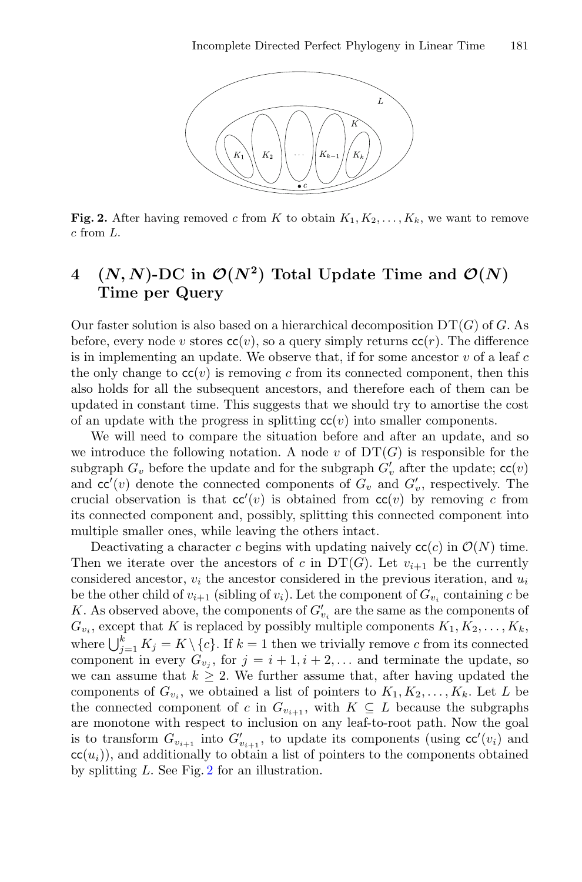

<span id="page-9-1"></span>**Fig. 2.** After having removed *c* from *K* to obtain  $K_1, K_2, \ldots, K_k$ , we want to remove *c* from *L*.

### <span id="page-9-0"></span>**4**  $(N, N)$ -DC in  $\mathcal{O}(N^2)$  Total Update Time and  $\mathcal{O}(N)$ **Time per Query**

Our faster solution is also based on a hierarchical decomposition  $DT(G)$  of G. As before, every node v stores  $cc(v)$ , so a query simply returns  $cc(r)$ . The difference is in implementing an update. We observe that, if for some ancestor  $v$  of a leaf  $c$ the only change to  $cc(v)$  is removing c from its connected component, then this also holds for all the subsequent ancestors, and therefore each of them can be updated in constant time. This suggests that we should try to amortise the cost of an update with the progress in splitting  $cc(v)$  into smaller components.

We will need to compare the situation before and after an update, and so we introduce the following notation. A node v of  $DT(G)$  is responsible for the subgraph  $G_v$  before the update and for the subgraph  $G'_v$  after the update;  $\mathsf{cc}(v)$ and  $cc'(v)$  denote the connected components of  $G_v$  and  $G'_v$ , respectively. The crucial observation is that  $cc'(v)$  is obtained from  $cc(v)$  by removing c from its connected component and, possibly, splitting this connected component into multiple smaller ones, while leaving the others intact.

Deactivating a character c begins with updating naively  $\mathbf{c}(\mathbf{c})$  in  $\mathcal{O}(N)$  time. Then we iterate over the ancestors of c in  $DT(G)$ . Let  $v_{i+1}$  be the currently considered ancestor,  $v_i$  the ancestor considered in the previous iteration, and  $u_i$ be the other child of  $v_{i+1}$  (sibling of  $v_i$ ). Let the component of  $G_{v_i}$  containing c be K. As observed above, the components of  $G'_{v_i}$  are the same as the components of  $G_{v_i}$ , except that K is replaced by possibly multiple components  $K_1, K_2, \ldots, K_k$ , where  $\bigcup_{j=1}^k K_j = K \setminus \{c\}$ . If  $k = 1$  then we trivially remove c from its connected component in every  $G_{v_i}$ , for  $j = i + 1, i + 2, \ldots$  and terminate the update, so we can assume that  $k \geq 2$ . We further assume that, after having updated the components of  $G_{v_i}$ , we obtained a list of pointers to  $K_1, K_2, \ldots, K_k$ . Let L be the connected component of c in  $G_{v_{i+1}}$ , with  $K \subseteq L$  because the subgraphs are monotone with respect to inclusion on any leaf-to-root path. Now the goal is to transform  $G_{v_{i+1}}$  into  $G'_{v_{i+1}}$ , to update its components (using  $\mathsf{cc}'(v_i)$ ) and  $cc(u_i)$ , and additionally to obtain a list of pointers to the components obtained by splitting  $L$ . See Fig. [2](#page-9-1) for an illustration.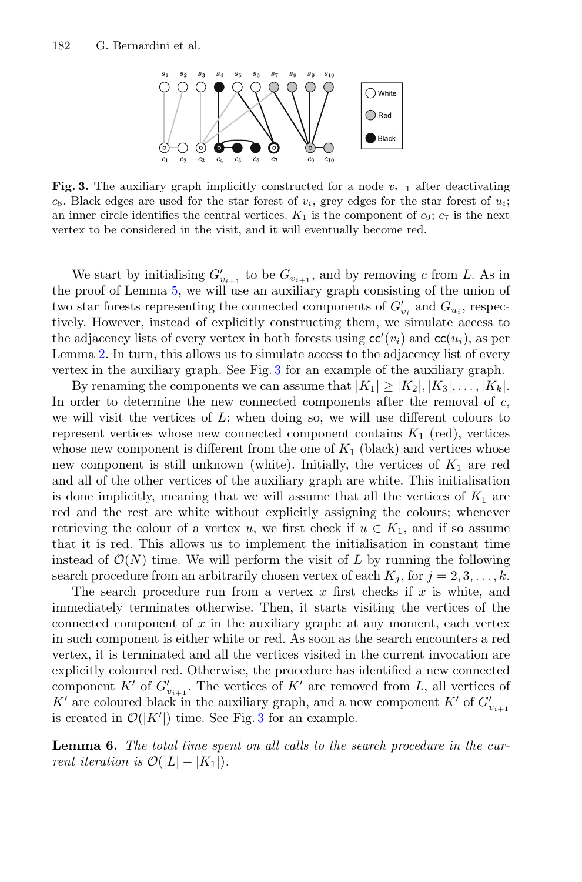

<span id="page-10-0"></span>**Fig. 3.** The auxiliary graph implicitly constructed for a node  $v_{i+1}$  after deactivating  $c_8$ . Black edges are used for the star forest of  $v_i$ , grey edges for the star forest of  $u_i$ ; an inner circle identifies the central vertices.  $K_1$  is the component of  $c_9$ ;  $c_7$  is the next vertex to be considered in the visit, and it will eventually become red.

We start by initialising  $G'_{v_{i+1}}$  to be  $G_{v_{i+1}}$ , and by removing c from L. As in the proof of Lemma [5,](#page-8-1) we will use an auxiliary graph consisting of the union of two star forests representing the connected components of  $G'_{v_i}$  and  $G_{u_i}$ , respectively. However, instead of explicitly constructing them, we simulate access to the adjacency lists of every vertex in both forests using  $cc'(v_i)$  and  $cc(u_i)$ , as per Lemma [2.](#page-5-1) In turn, this allows us to simulate access to the adjacency list of every vertex in the auxiliary graph. See Fig. [3](#page-10-0) for an example of the auxiliary graph.

By renaming the components we can assume that  $|K_1|\geq |K_2|, |K_3|,\ldots, |K_k|$ . In order to determine the new connected components after the removal of  $c$ , we will visit the vertices of  $L$ : when doing so, we will use different colours to represent vertices whose new connected component contains  $K_1$  (red), vertices whose new component is different from the one of  $K_1$  (black) and vertices whose new component is still unknown (white). Initially, the vertices of  $K_1$  are red and all of the other vertices of the auxiliary graph are white. This initialisation is done implicitly, meaning that we will assume that all the vertices of  $K_1$  are red and the rest are white without explicitly assigning the colours; whenever retrieving the colour of a vertex u, we first check if  $u \in K_1$ , and if so assume that it is red. This allows us to implement the initialisation in constant time instead of  $\mathcal{O}(N)$  time. We will perform the visit of L by running the following search procedure from an arbitrarily chosen vertex of each  $K_i$ , for  $j = 2, 3, \ldots, k$ .

The search procedure run from a vertex  $x$  first checks if  $x$  is white, and immediately terminates otherwise. Then, it starts visiting the vertices of the connected component of  $x$  in the auxiliary graph: at any moment, each vertex in such component is either white or red. As soon as the search encounters a red vertex, it is terminated and all the vertices visited in the current invocation are explicitly coloured red. Otherwise, the procedure has identified a new connected component K' of  $G'_{v_{i+1}}$ . The vertices of K' are removed from L, all vertices of K' are coloured black in the auxiliary graph, and a new component  $K'$  of  $G'_{v_{i+1}}$ is created in  $\mathcal{O}(|K'|)$  time. See Fig. [3](#page-10-0) for an example.

**Lemma 6.** *The total time spent on all calls to the search procedure in the current iteration is*  $\mathcal{O}(|L|-|K_1|)$ *.*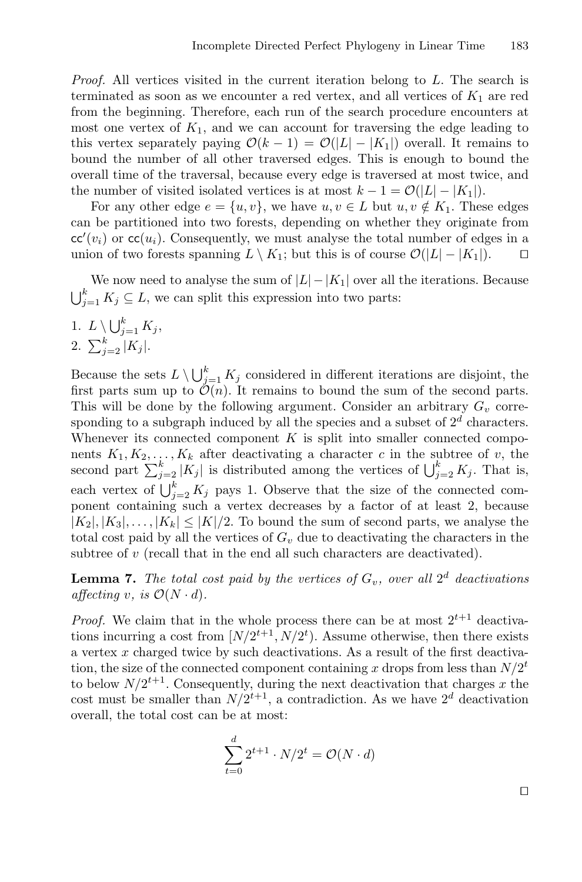*Proof.* All vertices visited in the current iteration belong to L. The search is terminated as soon as we encounter a red vertex, and all vertices of  $K_1$  are red from the beginning. Therefore, each run of the search procedure encounters at most one vertex of  $K_1$ , and we can account for traversing the edge leading to this vertex separately paying  $\mathcal{O}(k-1) = \mathcal{O}(|L|-|K_1|)$  overall. It remains to bound the number of all other traversed edges. This is enough to bound the overall time of the traversal, because every edge is traversed at most twice, and the number of visited isolated vertices is at most  $k - 1 = \mathcal{O}(|L| - |K_1|)$ .

For any other edge  $e = \{u, v\}$ , we have  $u, v \in L$  but  $u, v \notin K_1$ . These edges can be partitioned into two forests, depending on whether they originate from  $cc'(v_i)$  or  $cc(u_i)$ . Consequently, we must analyse the total number of edges in a union of two forests spanning  $L \setminus K_1$ ; but this is of course  $\mathcal{O}(|L|-|K_1|)$ .  $\Box$ 

We now need to analyse the sum of  $|L|-|K_1|$  over all the iterations. Because  $\bigcup_{j=1}^k K_j \subseteq L$ , we can split this expression into two parts:

1.  $L \setminus \bigcup_{j=1}^k K_j$ , 2.  $\sum_{j=2}^{k} |K_j|$ .

Because the sets  $L \setminus \bigcup_{j=1}^{k} K_j$  considered in different iterations are disjoint, the first parts sum up to  $\mathcal{O}(n)$ . It remains to bound the sum of the second parts. This will be done by the following argument. Consider an arbitrary  $G_v$  corresponding to a subgraph induced by all the species and a subset of  $2^d$  characters. Whenever its connected component  $K$  is split into smaller connected components  $K_1, K_2, \ldots, K_k$  after deactivating a character c in the subtree of v, the second part  $\sum_{j=2}^{k} |K_j|$  is distributed among the vertices of  $\bigcup_{j=2}^{k} K_j$ . That is, each vertex of  $\bigcup_{j=2}^{k} K_j$  pays 1. Observe that the size of the connected component containing such a vertex decreases by a factor of at least 2, because  $|K_2|, |K_3|, \ldots, |K_k| \leq |K|/2$ . To bound the sum of second parts, we analyse the total cost paid by all the vertices of  $G_v$  due to deactivating the characters in the subtree of v (recall that in the end all such characters are deactivated).

**Lemma 7.** *The total cost paid by the vertices of*  $G_v$ *, over all*  $2^d$  *deactivations affecting* v, is  $\mathcal{O}(N \cdot d)$ *.* 

*Proof.* We claim that in the whole process there can be at most  $2^{t+1}$  deactivations incurring a cost from  $[N/2^{t+1}, N/2^t)$ . Assume otherwise, then there exists a vertex x charged twice by such deactivations. As a result of the first deactivation, the size of the connected component containing x drops from less than  $N/2<sup>t</sup>$ to below  $N/2^{t+1}$ . Consequently, during the next deactivation that charges x the cost must be smaller than  $N/2^{t+1}$ , a contradiction. As we have  $2^d$  deactivation overall, the total cost can be at most:

$$
\sum_{t=0}^{d} 2^{t+1} \cdot N/2^{t} = \mathcal{O}(N \cdot d)
$$

 $\Box$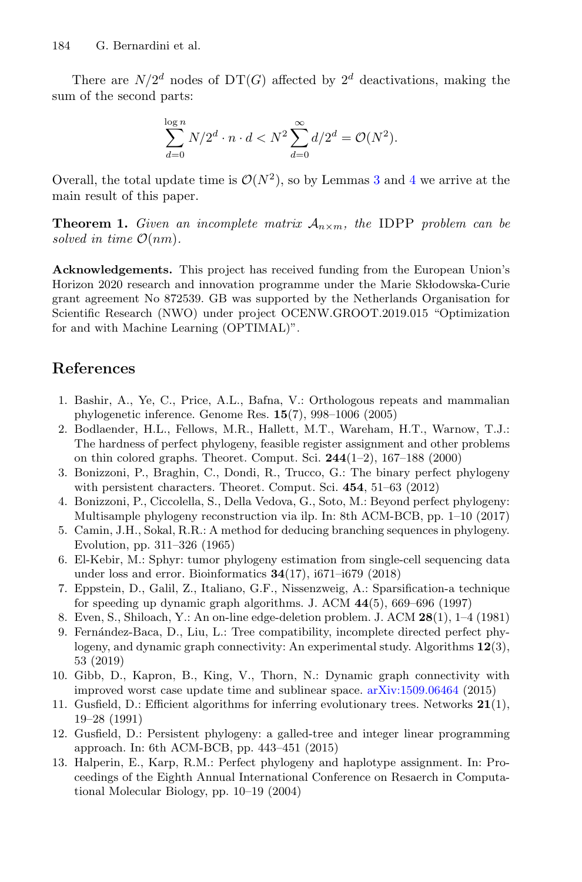There are  $N/2^d$  nodes of DT(G) affected by  $2^d$  deactivations, making the sum of the second parts:

$$
\sum_{d=0}^{\log n} N/2^d \cdot n \cdot d < N^2 \sum_{d=0}^{\infty} d/2^d = \mathcal{O}(N^2).
$$

Overall, the total update time is  $\mathcal{O}(N^2)$ , so by Lemmas [3](#page-6-0) and [4](#page-7-1) we arrive at the main result of this paper.

**Theorem 1.** *Given an incomplete matrix*  $A_{n \times m}$ *, the* IDPP *problem can be solved in time* O(nm)*.*

**Acknowledgements.** This project has received funding from the European Union's Horizon 2020 research and innovation programme under the Marie Skłodowska-Curie grant agreement No 872539. GB was supported by the Netherlands Organisation for Scientific Research (NWO) under project OCENW.GROOT.2019.015 "Optimization for and with Machine Learning (OPTIMAL)".

### **References**

- <span id="page-12-3"></span>1. Bashir, A., Ye, C., Price, A.L., Bafna, V.: Orthologous repeats and mammalian phylogenetic inference. Genome Res. **15**(7), 998–1006 (2005)
- <span id="page-12-1"></span>2. Bodlaender, H.L., Fellows, M.R., Hallett, M.T., Wareham, H.T., Warnow, T.J.: The hardness of perfect phylogeny, feasible register assignment and other problems on thin colored graphs. Theoret. Comput. Sci. **244**(1–2), 167–188 (2000)
- <span id="page-12-5"></span>3. Bonizzoni, P., Braghin, C., Dondi, R., Trucco, G.: The binary perfect phylogeny with persistent characters. Theoret. Comput. Sci. **454**, 51–63 (2012)
- <span id="page-12-6"></span>4. Bonizzoni, P., Ciccolella, S., Della Vedova, G., Soto, M.: Beyond perfect phylogeny: Multisample phylogeny reconstruction via ilp. In: 8th ACM-BCB, pp. 1–10 (2017)
- <span id="page-12-2"></span>5. Camin, J.H., Sokal, R.R.: A method for deducing branching sequences in phylogeny. Evolution, pp. 311–326 (1965)
- <span id="page-12-7"></span>6. El-Kebir, M.: Sphyr: tumor phylogeny estimation from single-cell sequencing data under loss and error. Bioinformatics **34**(17), i671–i679 (2018)
- <span id="page-12-12"></span>7. Eppstein, D., Galil, Z., Italiano, G.F., Nissenzweig, A.: Sparsification-a technique for speeding up dynamic graph algorithms. J. ACM **44**(5), 669–696 (1997)
- <span id="page-12-10"></span>8. Even, S., Shiloach, Y.: An on-line edge-deletion problem. J. ACM **28**(1), 1–4 (1981)
- <span id="page-12-11"></span>9. Fernández-Baca, D., Liu, L.: Tree compatibility, incomplete directed perfect phylogeny, and dynamic graph connectivity: An experimental study. Algorithms **12**(3), 53 (2019)
- <span id="page-12-9"></span>10. Gibb, D., Kapron, B., King, V., Thorn, N.: Dynamic graph connectivity with improved worst case update time and sublinear space. [arXiv:1509.06464](http://arxiv.org/abs/1509.06464) (2015)
- <span id="page-12-0"></span>11. Gusfield, D.: Efficient algorithms for inferring evolutionary trees. Networks **21**(1), 19–28 (1991)
- <span id="page-12-8"></span>12. Gusfield, D.: Persistent phylogeny: a galled-tree and integer linear programming approach. In: 6th ACM-BCB, pp. 443–451 (2015)
- <span id="page-12-4"></span>13. Halperin, E., Karp, R.M.: Perfect phylogeny and haplotype assignment. In: Proceedings of the Eighth Annual International Conference on Resaerch in Computational Molecular Biology, pp. 10–19 (2004)